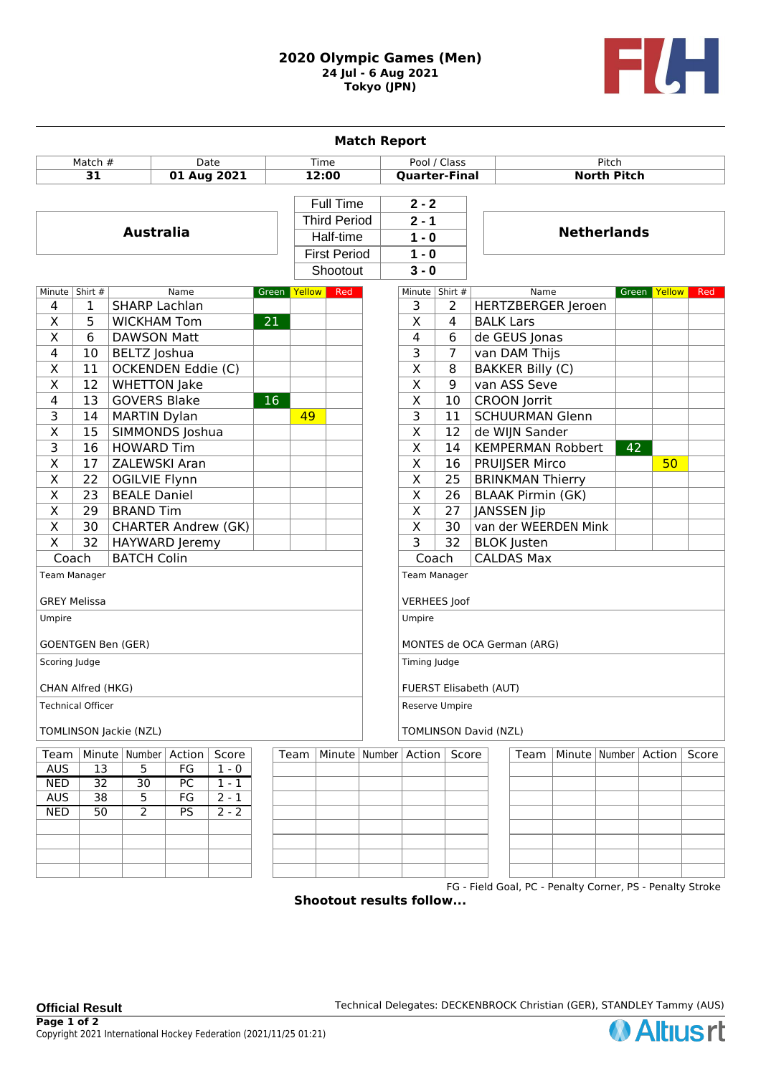## **2020 Olympic Games (Men) 24 Jul - 6 Aug 2021 Tokyo (JPN)**



| <b>Match Report</b>       |                 |                            |    |                    |              |              |                                  |                               |                          |                    |                         |                          |                                                           |              |     |       |
|---------------------------|-----------------|----------------------------|----|--------------------|--------------|--------------|----------------------------------|-------------------------------|--------------------------|--------------------|-------------------------|--------------------------|-----------------------------------------------------------|--------------|-----|-------|
| Match #<br>Date           |                 |                            |    | Time               |              | Pool / Class |                                  |                               | Pitch                    |                    |                         |                          |                                                           |              |     |       |
| 31<br>01 Aug 2021         |                 |                            |    |                    | 12:00        |              | <b>Quarter-Final</b>             |                               |                          | <b>North Pitch</b> |                         |                          |                                                           |              |     |       |
|                           |                 |                            |    |                    |              |              |                                  |                               |                          |                    |                         |                          |                                                           |              |     |       |
|                           |                 |                            |    |                    |              |              | Full Time<br><b>Third Period</b> |                               | $2 - 2$<br>$2 - 1$       |                    | <b>Netherlands</b>      |                          |                                                           |              |     |       |
|                           |                 |                            |    |                    |              |              |                                  |                               |                          |                    |                         |                          |                                                           |              |     |       |
| <b>Australia</b>          |                 |                            |    |                    |              |              | Half-time                        |                               | $1 - 0$                  |                    |                         |                          |                                                           |              |     |       |
|                           |                 |                            |    |                    |              |              | <b>First Period</b>              |                               | $1 - 0$                  |                    |                         |                          |                                                           |              |     |       |
|                           |                 |                            |    |                    |              |              | Shootout                         |                               | $3 - 0$                  |                    |                         |                          |                                                           |              |     |       |
| Minute   Shirt #<br>Name  |                 |                            |    |                    | Green Yellow | Red          |                                  | Minute   Shirt #              |                          |                    | Name                    |                          |                                                           | Green Yellow | Red |       |
| 4                         | 1               | <b>SHARP Lachlan</b>       |    |                    |              |              |                                  | 3                             | 2                        |                    |                         | HERTZBERGER Jeroen       |                                                           |              |     |       |
| X                         | 5               | 21<br><b>WICKHAM Tom</b>   |    |                    |              |              |                                  | $\overline{\mathsf{x}}$       | $\overline{4}$           | <b>BALK Lars</b>   |                         |                          |                                                           |              |     |       |
| $\overline{X}$            | 6               | <b>DAWSON Matt</b>         |    |                    |              |              |                                  | 4                             | 6                        |                    | de GEUS Jonas           |                          |                                                           |              |     |       |
| 4                         | 10              | BELTZ Joshua               |    |                    |              |              |                                  | 3                             | 7                        |                    | van DAM Thijs           |                          |                                                           |              |     |       |
| X                         | 11              | OCKENDEN Eddie (C)         |    |                    |              |              |                                  | $\overline{\mathsf{x}}$       | 8                        |                    | <b>BAKKER Billy (C)</b> |                          |                                                           |              |     |       |
| $\overline{\mathsf{X}}$   | 12              | <b>WHETTON Jake</b>        |    |                    |              |              |                                  | $\overline{\mathsf{X}}$       | $\overline{9}$           |                    | van ASS Seve            |                          |                                                           |              |     |       |
| 4                         | 13              | <b>GOVERS Blake</b>        |    |                    | 16           |              |                                  |                               | $\overline{\mathsf{X}}$  | 10                 |                         | <b>CROON Jorrit</b>      |                                                           |              |     |       |
| 3                         | 14              | <b>MARTIN Dylan</b>        |    |                    |              | 49           |                                  |                               | $\overline{\mathsf{3}}$  | 11                 |                         |                          | <b>SCHUURMAN Glenn</b>                                    |              |     |       |
| $\overline{X}$            | 15              | <b>SIMMONDS Joshua</b>     |    |                    |              |              |                                  |                               | $\overline{\mathsf{x}}$  | 12                 |                         | de WIJN Sander           |                                                           |              |     |       |
| $\overline{\mathbf{3}}$   | $\overline{16}$ | <b>HOWARD Tim</b>          |    |                    |              |              |                                  |                               | $\overline{\mathsf{x}}$  | 14                 |                         |                          | <b>KEMPERMAN Robbert</b>                                  | 42           |     |       |
| $\overline{\mathsf{x}}$   | 17              | <b>ZALEWSKI Aran</b>       |    |                    |              |              |                                  |                               | $\overline{\mathsf{x}}$  | 16                 |                         | <b>PRUIJSER Mirco</b>    |                                                           |              | 50  |       |
| $\overline{\mathsf{x}}$   | 22              | <b>OGILVIE Flynn</b>       |    |                    |              |              |                                  |                               | $\overline{\mathsf{x}}$  | 25                 |                         | <b>BRINKMAN Thierry</b>  |                                                           |              |     |       |
| $\overline{\mathsf{x}}$   | $\overline{23}$ | <b>BEALE Daniel</b>        |    |                    |              |              |                                  |                               | $\overline{\mathsf{x}}$  | $\overline{26}$    |                         | <b>BLAAK Pirmin (GK)</b> |                                                           |              |     |       |
| $\overline{\mathsf{x}}$   | $\overline{29}$ | <b>BRAND Tim</b>           |    |                    |              |              |                                  |                               | $\overline{\mathsf{x}}$  | 27                 |                         | JANSSEN Jip              |                                                           |              |     |       |
| $\overline{\mathsf{x}}$   | $\overline{30}$ | <b>CHARTER Andrew (GK)</b> |    |                    |              |              |                                  |                               | $\overline{\mathsf{x}}$  | $\overline{30}$    |                         |                          | van der WEERDEN Mink                                      |              |     |       |
| $\overline{\mathsf{x}}$   | $\overline{32}$ | <b>HAYWARD Jeremy</b>      |    |                    |              |              |                                  |                               | $\overline{\mathsf{3}}$  | $\overline{32}$    |                         | <b>BLOK</b> Justen       |                                                           |              |     |       |
| Coach                     |                 | <b>BATCH Colin</b>         |    |                    |              |              |                                  |                               | Coach                    |                    |                         | <b>CALDAS Max</b>        |                                                           |              |     |       |
| Team Manager              |                 |                            |    |                    |              |              |                                  |                               | Team Manager             |                    |                         |                          |                                                           |              |     |       |
|                           |                 |                            |    |                    |              |              |                                  |                               |                          |                    |                         |                          |                                                           |              |     |       |
| <b>GREY Melissa</b>       |                 |                            |    |                    |              |              |                                  | <b>VERHEES</b> Joof           |                          |                    |                         |                          |                                                           |              |     |       |
| Umpire                    |                 |                            |    |                    |              |              |                                  | Umpire                        |                          |                    |                         |                          |                                                           |              |     |       |
|                           |                 |                            |    |                    |              |              |                                  |                               |                          |                    |                         |                          |                                                           |              |     |       |
| <b>GOENTGEN Ben (GER)</b> |                 |                            |    |                    |              |              |                                  | MONTES de OCA German (ARG)    |                          |                    |                         |                          |                                                           |              |     |       |
| Scoring Judge             |                 |                            |    |                    |              |              |                                  | Timing Judge                  |                          |                    |                         |                          |                                                           |              |     |       |
| CHAN Alfred (HKG)         |                 |                            |    |                    |              |              |                                  | <b>FUERST Elisabeth (AUT)</b> |                          |                    |                         |                          |                                                           |              |     |       |
| Technical Officer         |                 |                            |    |                    |              |              |                                  | Reserve Umpire                |                          |                    |                         |                          |                                                           |              |     |       |
| TOMLINSON Jackie (NZL)    |                 |                            |    |                    |              |              |                                  | <b>TOMLINSON David (NZL)</b>  |                          |                    |                         |                          |                                                           |              |     |       |
| Team                      |                 | Minute   Number   Action   |    | Score              |              | Team         |                                  |                               | Minute   Number   Action | Score              |                         | Team                     | Minute   Number   Action                                  |              |     | Score |
| <b>AUS</b>                | 13              | 5                          | FG | $1 - 0$            |              |              |                                  |                               |                          |                    |                         |                          |                                                           |              |     |       |
| <b>NED</b>                | $\overline{32}$ | $\overline{30}$            | PC | $1 - 1$            |              |              |                                  |                               |                          |                    |                         |                          |                                                           |              |     |       |
| <b>AUS</b>                | 38              | 5                          | FG | $\overline{2} - 1$ |              |              |                                  |                               |                          |                    |                         |                          |                                                           |              |     |       |
| NED                       | 50              | $\overline{2}$             | PS | $2 - 2$            |              |              |                                  |                               |                          |                    |                         |                          |                                                           |              |     |       |
|                           |                 |                            |    |                    |              |              |                                  |                               |                          |                    |                         |                          |                                                           |              |     |       |
|                           |                 |                            |    |                    |              |              |                                  |                               |                          |                    |                         |                          |                                                           |              |     |       |
|                           |                 |                            |    |                    |              |              |                                  |                               |                          |                    |                         |                          |                                                           |              |     |       |
|                           |                 |                            |    |                    |              |              |                                  |                               |                          |                    |                         |                          |                                                           |              |     |       |
|                           |                 |                            |    |                    |              |              | Shootout results follow          |                               |                          |                    |                         |                          | FG - Field Goal, PC - Penalty Corner, PS - Penalty Stroke |              |     |       |

**Shootout results follow...**

**Official Result Technical Delegates: DECKENBROCK Christian (GER), STANDLEY Tammy (AUS)**